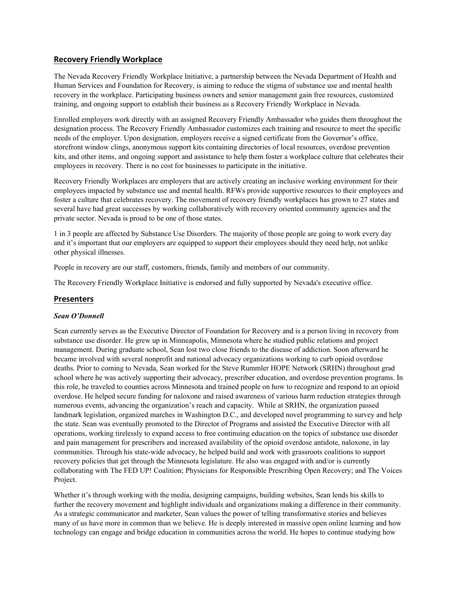## **Recovery Friendly Workplace**

The Nevada Recovery Friendly Workplace Initiative, a partnership between the Nevada Department of Health and Human Services and Foundation for Recovery, is aiming to reduce the stigma of substance use and mental health recovery in the workplace. Participating business owners and senior management gain free resources, customized training, and ongoing support to establish their business as a Recovery Friendly Workplace in Nevada.

Enrolled employers work directly with an assigned Recovery Friendly Ambassador who guides them throughout the designation process. The Recovery Friendly Ambassador customizes each training and resource to meet the specific needs of the employer. Upon designation, employers receive a signed certificate from the Governor's office, storefront window clings, anonymous support kits containing directories of local resources, overdose prevention kits, and other items, and ongoing support and assistance to help them foster a workplace culture that celebrates their employees in recovery. There is no cost for businesses to participate in the initiative.

Recovery Friendly Workplaces are employers that are actively creating an inclusive working environment for their employees impacted by substance use and mental health. RFWs provide supportive resources to their employees and foster a culture that celebrates recovery. The movement of recovery friendly workplaces has grown to 27 states and several have had great successes by working collaboratively with recovery oriented community agencies and the private sector. Nevada is proud to be one of those states.

1 in 3 people are affected by Substance Use Disorders. The majority of those people are going to work every day and it's important that our employers are equipped to support their employees should they need help, not unlike other physical illnesses.

People in recovery are our staff, customers, friends, family and members of our community.

The Recovery Friendly Workplace Initiative is endorsed and fully supported by Nevada's executive office.

## **Presenters**

## *Sean O'Donnell*

Sean currently serves as the Executive Director of Foundation for Recovery and is a person living in recovery from substance use disorder. He grew up in Minneapolis, Minnesota where he studied public relations and project management. During graduate school, Sean lost two close friends to the disease of addiction. Soon afterward he became involved with several nonprofit and national advocacy organizations working to curb opioid overdose deaths. Prior to coming to Nevada, Sean worked for the Steve Rummler HOPE Network (SRHN) throughout grad school where he was actively supporting their advocacy, prescriber education, and overdose prevention programs. In this role, he traveled to counties across Minnesota and trained people on how to recognize and respond to an opioid overdose. He helped secure funding for naloxone and raised awareness of various harm reduction strategies through numerous events, advancing the organization's reach and capacity. While at SRHN, the organization passed landmark legislation, organized marches in Washington D.C., and developed novel programming to survey and help the state. Sean was eventually promoted to the Director of Programs and assisted the Executive Director with all operations, working tirelessly to expand access to free continuing education on the topics of substance use disorder and pain management for prescribers and increased availability of the opioid overdose antidote, naloxone, in lay communities. Through his state-wide advocacy, he helped build and work with grassroots coalitions to support recovery policies that get through the Minnesota legislature. He also was engaged with and/or is currently collaborating with The FED UP! Coalition; Physicians for Responsible Prescribing Open Recovery; and The Voices Project.

Whether it's through working with the media, designing campaigns, building websites, Sean lends his skills to further the recovery movement and highlight individuals and organizations making a difference in their community. As a strategic communicator and marketer, Sean values the power of telling transformative stories and believes many of us have more in common than we believe. He is deeply interested in massive open online learning and how technology can engage and bridge education in communities across the world. He hopes to continue studying how